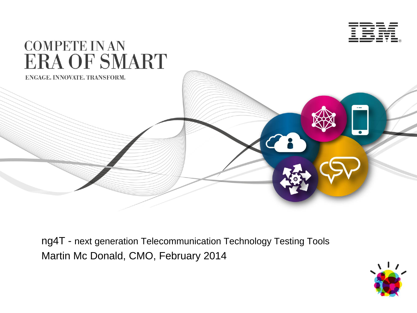



ng4T - next generation Telecommunication Technology Testing Tools Martin Mc Donald, CMO, February 2014

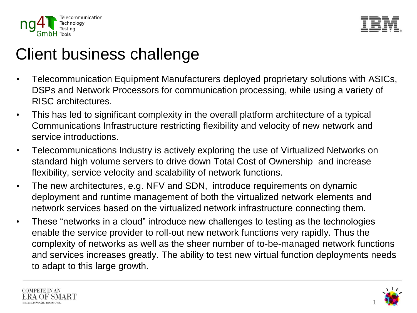



# Client business challenge

- Telecommunication Equipment Manufacturers deployed proprietary solutions with ASICs, DSPs and Network Processors for communication processing, while using a variety of RISC architectures.
- This has led to significant complexity in the overall platform architecture of a typical Communications Infrastructure restricting flexibility and velocity of new network and service introductions.
- Telecommunications Industry is actively exploring the use of Virtualized Networks on standard high volume servers to drive down Total Cost of Ownership and increase flexibility, service velocity and scalability of network functions.
- The new architectures, e.g. NFV and SDN, introduce requirements on dynamic deployment and runtime management of both the virtualized network elements and network services based on the virtualized network infrastructure connecting them.
- These "networks in a cloud" introduce new challenges to testing as the technologies enable the service provider to roll-out new network functions very rapidly. Thus the complexity of networks as well as the sheer number of to-be-managed network functions and services increases greatly. The ability to test new virtual function deployments needs to adapt to this large growth.



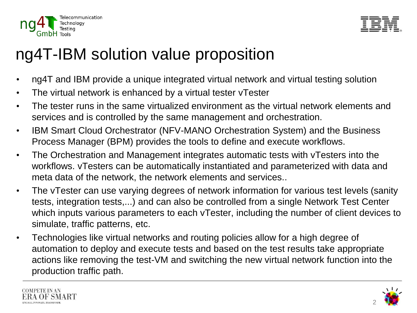



# ng4T-IBM solution value proposition

- ng4T and IBM provide a unique integrated virtual network and virtual testing solution
- The virtual network is enhanced by a virtual tester vTester
- The tester runs in the same virtualized environment as the virtual network elements and services and is controlled by the same management and orchestration.
- IBM Smart Cloud Orchestrator (NFV-MANO Orchestration System) and the Business Process Manager (BPM) provides the tools to define and execute workflows.
- The Orchestration and Management integrates automatic tests with vTesters into the workflows. vTesters can be automatically instantiated and parameterized with data and meta data of the network, the network elements and services..
- The vTester can use varying degrees of network information for various test levels (sanity tests, integration tests,...) and can also be controlled from a single Network Test Center which inputs various parameters to each vTester, including the number of client devices to simulate, traffic patterns, etc.
- Technologies like virtual networks and routing policies allow for a high degree of automation to deploy and execute tests and based on the test results take appropriate actions like removing the test-VM and switching the new virtual network function into the production traffic path.



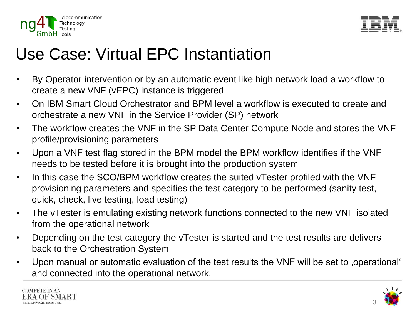



## Use Case: Virtual EPC Instantiation

- By Operator intervention or by an automatic event like high network load a workflow to create a new VNF (vEPC) instance is triggered
- On IBM Smart Cloud Orchestrator and BPM level a workflow is executed to create and orchestrate a new VNF in the Service Provider (SP) network
- The workflow creates the VNF in the SP Data Center Compute Node and stores the VNF profile/provisioning parameters
- Upon a VNF test flag stored in the BPM model the BPM workflow identifies if the VNF needs to be tested before it is brought into the production system
- In this case the SCO/BPM workflow creates the suited vTester profiled with the VNF provisioning parameters and specifies the test category to be performed (sanity test, quick, check, live testing, load testing)
- The vTester is emulating existing network functions connected to the new VNF isolated from the operational network
- Depending on the test category the vTester is started and the test results are delivers back to the Orchestration System
- Upon manual or automatic evaluation of the test results the VNF will be set to , operational ' and connected into the operational network.



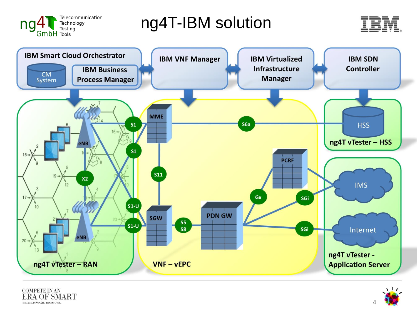

ng4T-IBM solution







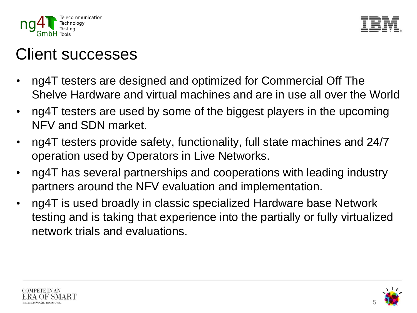



### Client successes

- ng4T testers are designed and optimized for Commercial Off The Shelve Hardware and virtual machines and are in use all over the World
- ng4T testers are used by some of the biggest players in the upcoming NFV and SDN market.
- ng4T testers provide safety, functionality, full state machines and 24/7 operation used by Operators in Live Networks.
- ng4T has several partnerships and cooperations with leading industry partners around the NFV evaluation and implementation.
- ng4T is used broadly in classic specialized Hardware base Network testing and is taking that experience into the partially or fully virtualized network trials and evaluations.